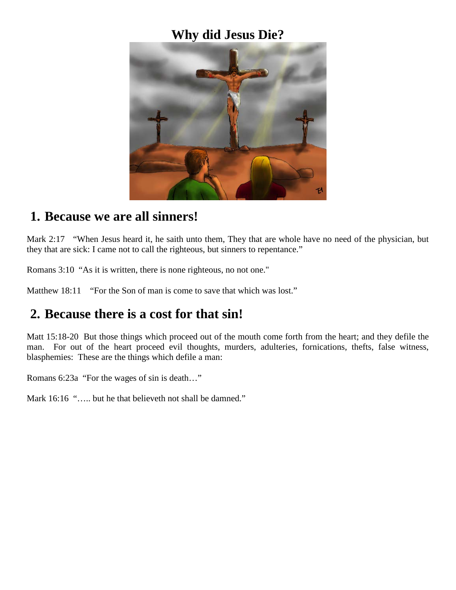#### **Why did Jesus Die?**



#### **1. Because we are all sinners!**

Mark 2:17 "When Jesus heard it, he saith unto them, They that are whole have no need of the physician, but they that are sick: I came not to call the righteous, but sinners to repentance."

Romans 3:10 "As it is written, there is none righteous, no not one."

Matthew 18:11 "For the Son of man is come to save that which was lost."

## **2. Because there is a cost for that sin!**

Matt 15:18-20 But those things which proceed out of the mouth come forth from the heart; and they defile the man. For out of the heart proceed evil thoughts, murders, adulteries, fornications, thefts, false witness, blasphemies: These are the things which defile a man:

Romans 6:23a "For the wages of sin is death…"

Mark 16:16 "..... but he that believeth not shall be damned."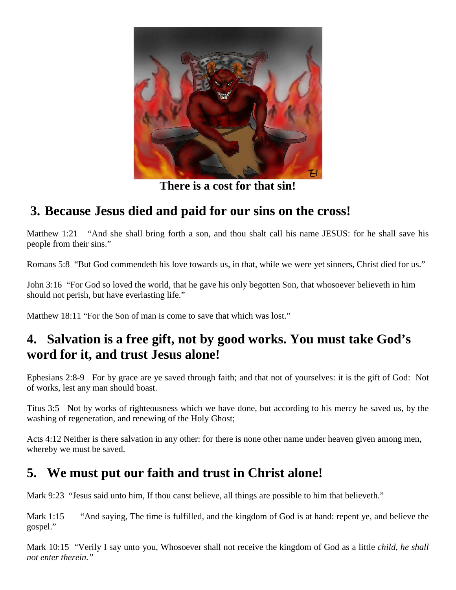

**There is a cost for that sin!**

## **3. Because Jesus died and paid for our sins on the cross!**

Matthew 1:21 "And she shall bring forth a son, and thou shalt call his name JESUS: for he shall save his people from their sins."

Romans 5:8 "But God commendeth his love towards us, in that, while we were yet sinners, Christ died for us."

John 3:16 "For God so loved the world, that he gave his only begotten Son, that whosoever believeth in him should not perish, but have everlasting life."

Matthew 18:11 "For the Son of man is come to save that which was lost."

# **4. Salvation is a free gift, not by good works. You must take God's word for it, and trust Jesus alone!**

Ephesians 2:8-9 For by grace are ye saved through faith; and that not of yourselves: it is the gift of God: Not of works, lest any man should boast.

Titus 3:5 Not by works of righteousness which we have done, but according to his mercy he saved us, by the washing of regeneration, and renewing of the Holy Ghost;

Acts 4:12 Neither is there salvation in any other: for there is none other name under heaven given among men, whereby we must be saved.

## **5. We must put our faith and trust in Christ alone!**

Mark 9:23 "Jesus said unto him, If thou canst believe, all things are possible to him that believeth."

Mark 1:15 "And saying, The time is fulfilled, and the kingdom of God is at hand: repent ye, and believe the gospel."

Mark 10:15 "Verily I say unto you, Whosoever shall not receive the kingdom of God as a little *child, he shall not enter therein."*